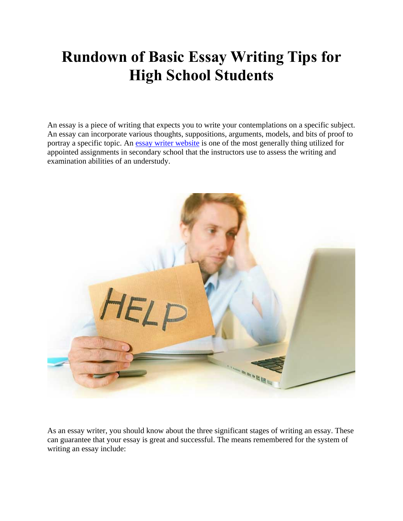# **Rundown of Basic Essay Writing Tips for High School Students**

An essay is a piece of writing that expects you to write your contemplations on a specific subject. An essay can incorporate various thoughts, suppositions, arguments, models, and bits of proof to portray a specific topic. An [essay writer website](https://www.freeessaywriter.net/) is one of the most generally thing utilized for appointed assignments in secondary school that the instructors use to assess the writing and examination abilities of an understudy.



As an essay writer, you should know about the three significant stages of writing an essay. These can guarantee that your essay is great and successful. The means remembered for the system of writing an essay include: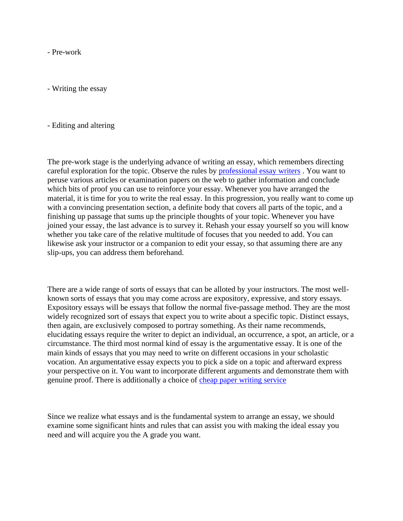- Pre-work

- Writing the essay

- Editing and altering

The pre-work stage is the underlying advance of writing an essay, which remembers directing careful exploration for the topic. Observe the rules by [professional essay writers](https://www.writemyessay.help/) . You want to peruse various articles or examination papers on the web to gather information and conclude which bits of proof you can use to reinforce your essay. Whenever you have arranged the material, it is time for you to write the real essay. In this progression, you really want to come up with a convincing presentation section, a definite body that covers all parts of the topic, and a finishing up passage that sums up the principle thoughts of your topic. Whenever you have joined your essay, the last advance is to survey it. Rehash your essay yourself so you will know whether you take care of the relative multitude of focuses that you needed to add. You can likewise ask your instructor or a companion to edit your essay, so that assuming there are any slip-ups, you can address them beforehand.

There are a wide range of sorts of essays that can be alloted by your instructors. The most wellknown sorts of essays that you may come across are expository, expressive, and story essays. Expository essays will be essays that follow the normal five-passage method. They are the most widely recognized sort of essays that expect you to write about a specific topic. Distinct essays, then again, are exclusively composed to portray something. As their name recommends, elucidating essays require the writer to depict an individual, an occurrence, a spot, an article, or a circumstance. The third most normal kind of essay is the argumentative essay. It is one of the main kinds of essays that you may need to write on different occasions in your scholastic vocation. An argumentative essay expects you to pick a side on a topic and afterward express your perspective on it. You want to incorporate different arguments and demonstrate them with genuine proof. There is additionally a choice of [cheap paper writing service](https://www.myperfectpaper.net/)

Since we realize what essays and is the fundamental system to arrange an essay, we should examine some significant hints and rules that can assist you with making the ideal essay you need and will acquire you the A grade you want.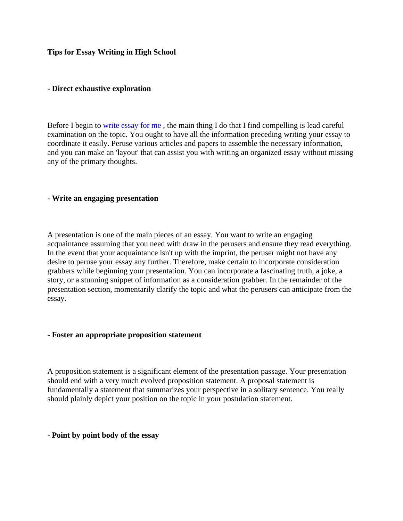**Tips for Essay Writing in High School**

### **- Direct exhaustive exploration**

Before I begin to [write essay for me](https://www.writemyessay.help/) , the main thing I do that I find compelling is lead careful examination on the topic. You ought to have all the information preceding writing your essay to coordinate it easily. Peruse various articles and papers to assemble the necessary information, and you can make an 'layout' that can assist you with writing an organized essay without missing any of the primary thoughts.

#### **- Write an engaging presentation**

A presentation is one of the main pieces of an essay. You want to write an engaging acquaintance assuming that you need with draw in the perusers and ensure they read everything. In the event that your acquaintance isn't up with the imprint, the peruser might not have any desire to peruse your essay any further. Therefore, make certain to incorporate consideration grabbers while beginning your presentation. You can incorporate a fascinating truth, a joke, a story, or a stunning snippet of information as a consideration grabber. In the remainder of the presentation section, momentarily clarify the topic and what the perusers can anticipate from the essay.

#### **- Foster an appropriate proposition statement**

A proposition statement is a significant element of the presentation passage. Your presentation should end with a very much evolved proposition statement. A proposal statement is fundamentally a statement that summarizes your perspective in a solitary sentence. You really should plainly depict your position on the topic in your postulation statement.

#### **- Point by point body of the essay**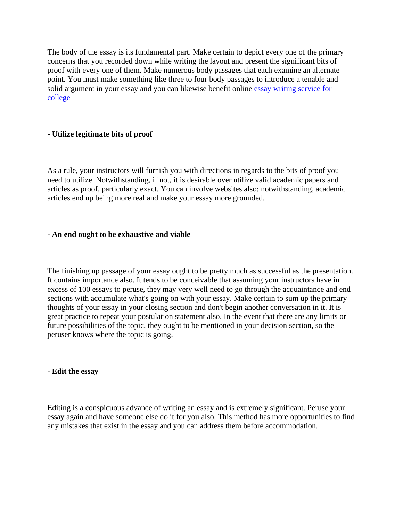The body of the essay is its fundamental part. Make certain to depict every one of the primary concerns that you recorded down while writing the layout and present the significant bits of proof with every one of them. Make numerous body passages that each examine an alternate point. You must make something like three to four body passages to introduce a tenable and solid argument in your essay and you can likewise benefit online [essay writing service for](https://www.essaywriter.college/)  [college](https://www.essaywriter.college/)

## **- Utilize legitimate bits of proof**

As a rule, your instructors will furnish you with directions in regards to the bits of proof you need to utilize. Notwithstanding, if not, it is desirable over utilize valid academic papers and articles as proof, particularly exact. You can involve websites also; notwithstanding, academic articles end up being more real and make your essay more grounded.

#### **- An end ought to be exhaustive and viable**

The finishing up passage of your essay ought to be pretty much as successful as the presentation. It contains importance also. It tends to be conceivable that assuming your instructors have in excess of 100 essays to peruse, they may very well need to go through the acquaintance and end sections with accumulate what's going on with your essay. Make certain to sum up the primary thoughts of your essay in your closing section and don't begin another conversation in it. It is great practice to repeat your postulation statement also. In the event that there are any limits or future possibilities of the topic, they ought to be mentioned in your decision section, so the peruser knows where the topic is going.

#### **- Edit the essay**

Editing is a conspicuous advance of writing an essay and is extremely significant. Peruse your essay again and have someone else do it for you also. This method has more opportunities to find any mistakes that exist in the essay and you can address them before accommodation.